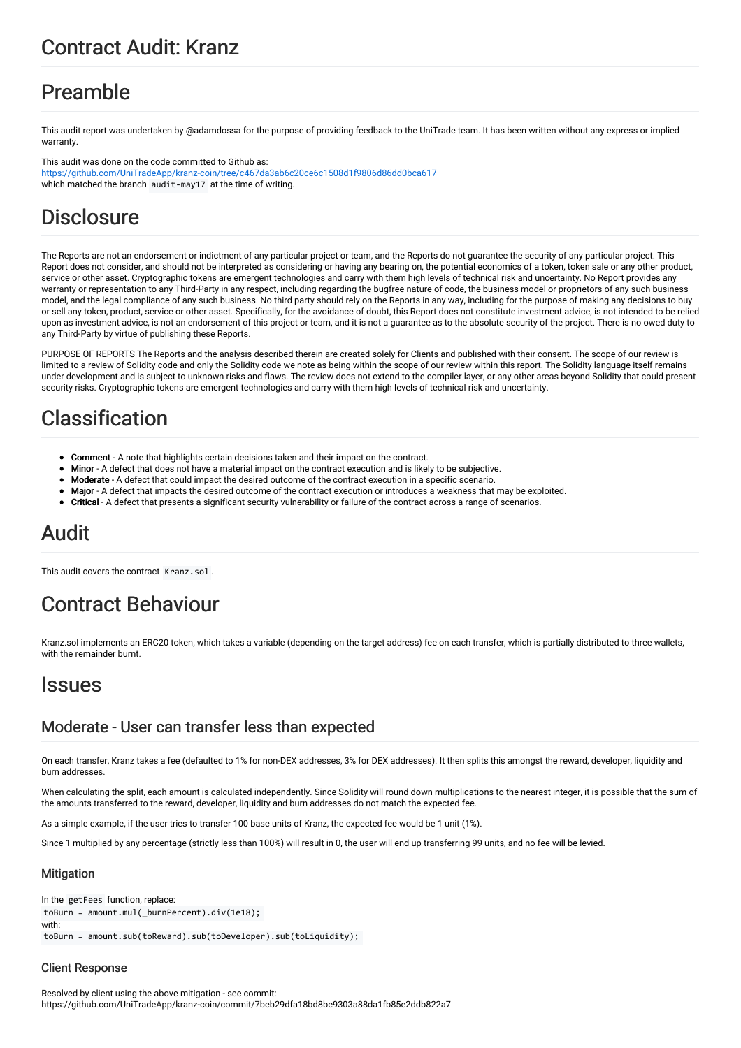## Contract Audit: Kranz

## Preamble

This audit report was undertaken by @adamdossa for the purpose of providing feedback to the UniTrade team. It has been written without any express or implied warranty

This audit was done on the code committed to Github as: <https://github.com/UniTradeApp/kranz-coin/tree/c467da3ab6c20ce6c1508d1f9806d86dd0bca617> which matched the branch audit-may17 at the time of writing.

# **Disclosure**

The Reports are not an endorsement or indictment of any particular project or team, and the Reports do not guarantee the security of any particular project. This Report does not consider, and should not be interpreted as considering or having any bearing on, the potential economics of a token, token sale or any other product, service or other asset. Cryptographic tokens are emergent technologies and carry with them high levels of technical risk and uncertainty. No Report provides any warranty or representation to any Third-Party in any respect, including regarding the bugfree nature of code, the business model or proprietors of any such business model, and the legal compliance of any such business. No third party should rely on the Reports in any way, including for the purpose of making any decisions to buy or sell any token, product, service or other asset. Specifically, for the avoidance of doubt, this Report does not constitute investment advice, is not intended to be relied upon as investment advice, is not an endorsement of this project or team, and it is not a guarantee as to the absolute security of the project. There is no owed duty to any Third-Party by virtue of publishing these Reports.

PURPOSE OF REPORTS The Reports and the analysis described therein are created solely for Clients and published with their consent. The scope of our review is limited to a review of Solidity code and only the Solidity code we note as being within the scope of our review within this report. The Solidity language itself remains under development and is subject to unknown risks and flaws. The review does not extend to the compiler layer, or any other areas beyond Solidity that could present security risks. Cryptographic tokens are emergent technologies and carry with them high levels of technical risk and uncertainty.

# Classification

- Comment A note that highlights certain decisions taken and their impact on the contract.
- Minor A defect that does not have a material impact on the contract execution and is likely to be subjective.
- Moderate A defect that could impact the desired outcome of the contract execution in a specific scenario.
- Major A defect that impacts the desired outcome of the contract execution or introduces a weakness that may be exploited.
- Critical A defect that presents a significant security vulnerability or failure of the contract across a range of scenarios.

# Audit

This audit covers the contract. Kranz. sol.

# Contract Behaviour

Kranz.sol implements an ERC20 token, which takes a variable (depending on the target address) fee on each transfer, which is partially distributed to three wallets, with the remainder burnt.

## Issues

## Moderate - User can transfer less than expected

On each transfer, Kranz takes a fee (defaulted to 1% for non-DEX addresses, 3% for DEX addresses). It then splits this amongst the reward, developer, liquidity and burn addresses.

When calculating the split, each amount is calculated independently. Since Solidity will round down multiplications to the nearest integer, it is possible that the sum of the amounts transferred to the reward, developer, liquidity and burn addresses do not match the expected fee.

As a simple example, if the user tries to transfer 100 base units of Kranz, the expected fee would be 1 unit (1%).

Since 1 multiplied by any percentage (strictly less than 100%) will result in 0, the user will end up transferring 99 units, and no fee will be levied.

### **Mitigation**

```
In the getFees function, replace:
toBurn = amount.mul( burnPercent).div(1e18);
with:
toBurn = amount.sub(toReward).sub(toDeveloper).sub(toLiquidity);
```
### Client Response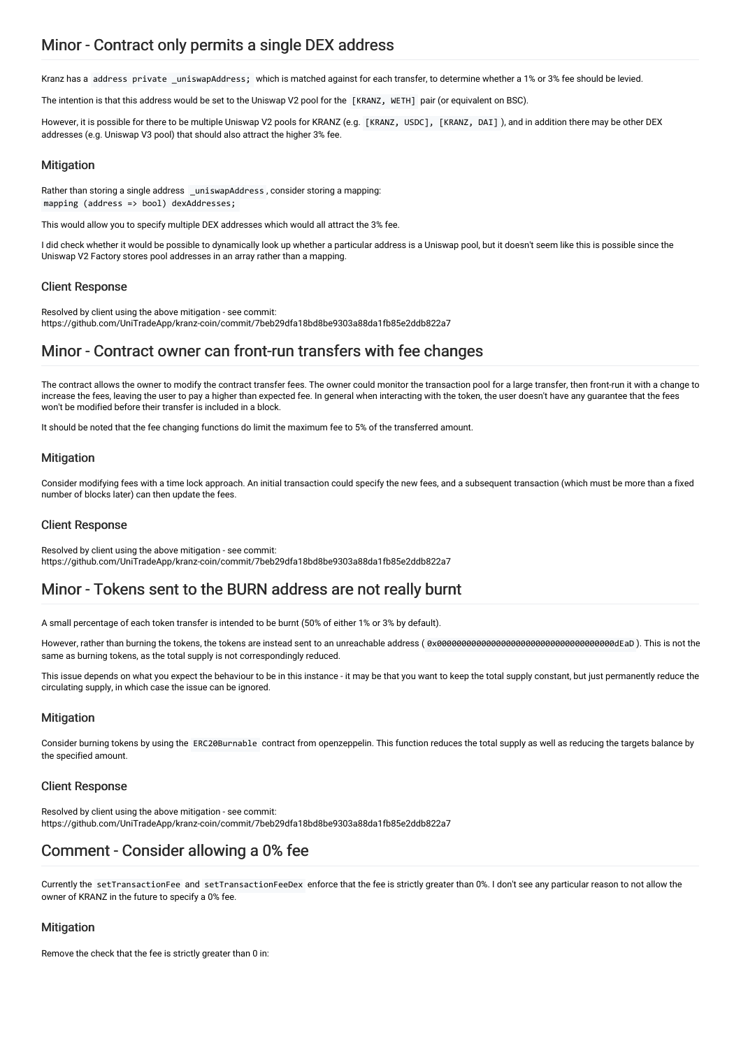Kranz has a address private \_uniswapAddress; which is matched against for each transfer, to determine whether a 1% or 3% fee should be levied.

The intention is that this address would be set to the Uniswap V2 pool for the [KRANZ, WETH] pair (or equivalent on BSC).

However, it is possible for there to be multiple Uniswap V2 pools for KRANZ (e.g. [KRANZ, USDC], [KRANZ, DAI]), and in addition there may be other DEX addresses (e.g. Uniswap V3 pool) that should also attract the higher 3% fee.

### **Mitigation**

Rather than storing a single address \_uniswapAddress, consider storing a mapping: mapping (address => bool) dexAddresses;

This would allow you to specify multiple DEX addresses which would all attract the 3% fee.

I did check whether it would be possible to dynamically look up whether a particular address is a Uniswap pool, but it doesn't seem like this is possible since the Uniswap V2 Factory stores pool addresses in an array rather than a mapping.

### Client Response

Resolved by client using the above mitigation - see commit: https://github.com/UniTradeApp/kranz-coin/commit/7beb29dfa18bd8be9303a88da1fb85e2ddb822a7

## Minor - Contract owner can front-run transfers with fee changes

The contract allows the owner to modify the contract transfer fees. The owner could monitor the transaction pool for a large transfer, then front-run it with a change to increase the fees, leaving the user to pay a higher than expected fee. In general when interacting with the token, the user doesn't have any guarantee that the fees won't be modified before their transfer is included in a block.

It should be noted that the fee changing functions do limit the maximum fee to 5% of the transferred amount.

### **Mitigation**

Consider modifying fees with a time lock approach. An initial transaction could specify the new fees, and a subsequent transaction (which must be more than a fixed number of blocks later) can then update the fees.

#### Client Response

Resolved by client using the above mitigation - see commit: https://github.com/UniTradeApp/kranz-coin/commit/7beb29dfa18bd8be9303a88da1fb85e2ddb822a7

## Minor - Tokens sent to the BURN address are not really burnt

A small percentage of each token transfer is intended to be burnt (50% of either 1% or 3% by default).

However, rather than burning the tokens, the tokens are instead sent to an unreachable address ( 0x000000000000000000000000000000000000dEaD ). This is not the same as burning tokens, as the total supply is not correspondingly reduced.

This issue depends on what you expect the behaviour to be in this instance - it may be that you want to keep the total supply constant, but just permanently reduce the circulating supply, in which case the issue can be ignored.

#### **Mitigation**

Consider burning tokens by using the ERC20Burnable contract from openzeppelin. This function reduces the total supply as well as reducing the targets balance by the specified amount.

#### Client Response

Resolved by client using the above mitigation - see commit: https://github.com/UniTradeApp/kranz-coin/commit/7beb29dfa18bd8be9303a88da1fb85e2ddb822a7

## Comment - Consider allowing a 0% fee

Currently the setTransactionFee and setTransactionFeeDex enforce that the fee is strictly greater than 0%. I don't see any particular reason to not allow the owner of KRANZ in the future to specify a 0% fee.

#### **Mitigation**

Remove the check that the fee is strictly greater than 0 in: